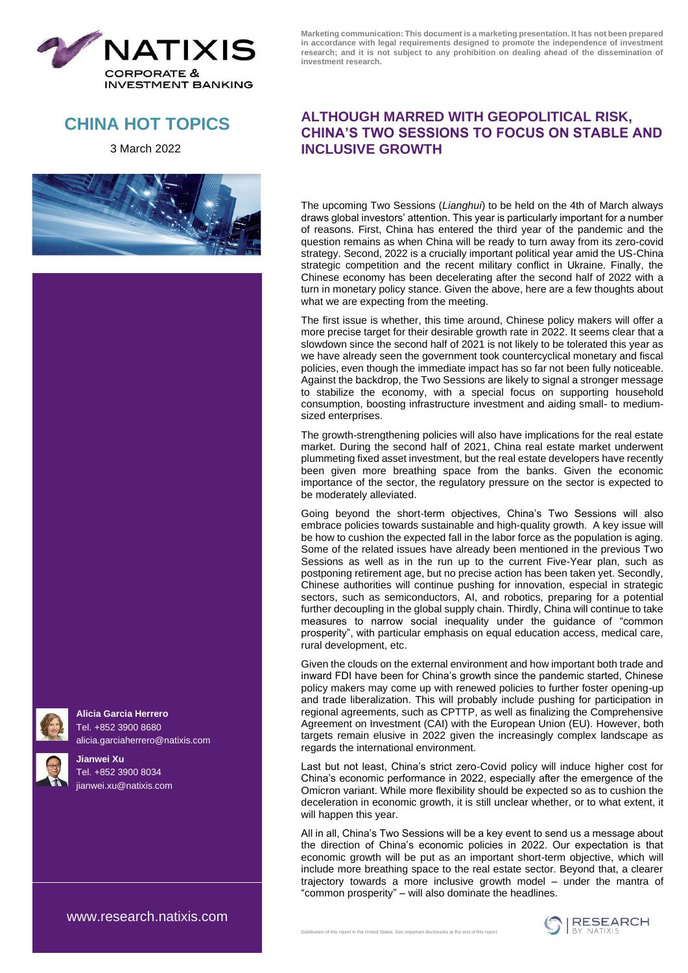

**CHINA HOT TOPICS**

3 March 2022





**Alicia Garcia Herrero** Tel. +852 3900 8680 [alicia.garciaherrero@natixis.com](http://mailto:alicia.garciaherrero@natixis.com)

**Jianwei Xu** Tel. +852 3900 8034 [jianwei.xu@natixis.com](http://mailto:jianwei.xu@ap.natixis.com) **Marketing communication: This document is a marketing presentation. It has not been prepared in accordance with legal requirements designed to promote the independence of investment research; and it is not subject to any prohibition on dealing ahead of the dissemination of investment research.**

## **ALTHOUGH MARRED WITH GEOPOLITICAL RISK, CHINA'S TWO SESSIONS TO FOCUS ON STABLE AND INCLUSIVE GROWTH**

The upcoming Two Sessions (*Lianghui*) to be held on the 4th of March always draws global investors' attention. This year is particularly important for a number of reasons. First, China has entered the third year of the pandemic and the question remains as when China will be ready to turn away from its zero-covid strategy. Second, 2022 is a crucially important political year amid the US-China strategic competition and the recent military conflict in Ukraine. Finally, the Chinese economy has been decelerating after the second half of 2022 with a turn in monetary policy stance. Given the above, here are a few thoughts about what we are expecting from the meeting.

The first issue is whether, this time around, Chinese policy makers will offer a more precise target for their desirable growth rate in 2022. It seems clear that a slowdown since the second half of 2021 is not likely to be tolerated this year as we have already seen the government took countercyclical monetary and fiscal policies, even though the immediate impact has so far not been fully noticeable. Against the backdrop, the Two Sessions are likely to signal a stronger message to stabilize the economy, with a special focus on supporting household consumption, boosting infrastructure investment and aiding small- to mediumsized enterprises.

The growth-strengthening policies will also have implications for the real estate market. During the second half of 2021, China real estate market underwent plummeting fixed asset investment, but the real estate developers have recently been given more breathing space from the banks. Given the economic importance of the sector, the regulatory pressure on the sector is expected to be moderately alleviated.

Going beyond the short-term objectives, China's Two Sessions will also embrace policies towards sustainable and high-quality growth. A key issue will be how to cushion the expected fall in the labor force as the population is aging. Some of the related issues have already been mentioned in the previous Two Sessions as well as in the run up to the current Five-Year plan, such as postponing retirement age, but no precise action has been taken yet. Secondly, Chinese authorities will continue pushing for innovation, especial in strategic sectors, such as semiconductors, AI, and robotics, preparing for a potential further decoupling in the global supply chain. Thirdly, China will continue to take measures to narrow social inequality under the guidance of "common prosperity", with particular emphasis on equal education access, medical care, rural development, etc.

Given the clouds on the external environment and how important both trade and inward FDI have been for China's growth since the pandemic started, Chinese policy makers may come up with renewed policies to further foster opening-up and trade liberalization. This will probably include pushing for participation in regional agreements, such as CPTTP, as well as finalizing the Comprehensive Agreement on Investment (CAI) with the European Union (EU). However, both targets remain elusive in 2022 given the increasingly complex landscape as regards the international environment.

Last but not least, China's strict zero-Covid policy will induce higher cost for China's economic performance in 2022, especially after the emergence of the Omicron variant. While more flexibility should be expected so as to cushion the deceleration in economic growth, it is still unclear whether, or to what extent, it will happen this year.

All in all, China's Two Sessions will be a key event to send us a message about the direction of China's economic policies in 2022. Our expectation is that economic growth will be put as an important short-term objective, which will include more breathing space to the real estate sector. Beyond that, a clearer trajectory towards a more inclusive growth model – under the mantra of "common prosperity" – will also dominate the headlines.

[www.research.natixis.com](http://www.research.natixis.com/)

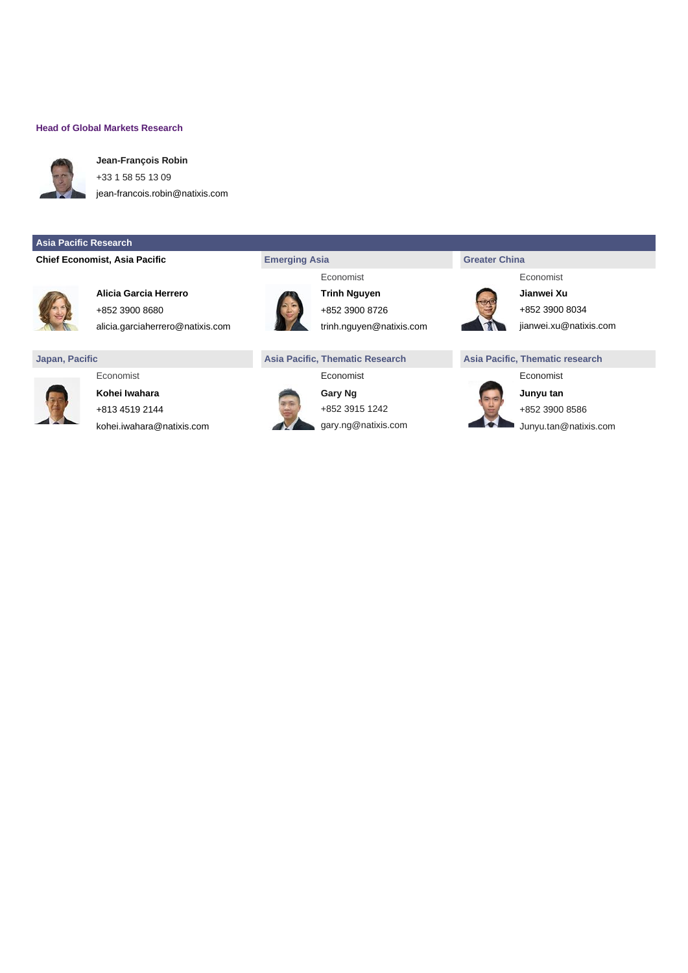### **Head of Global Markets Research**



**Jean-François Robin** +33 1 58 55 13 09

[jean-francois.robin@natixis.com](mailto:jean-francois.robin@natixis.com)

### **Asia Pacific Research**

### **Chief Economist, Asia Pacific <b>Exercise 2** Emerging Asia **China Greater China**



**Alicia Garcia Herrero Trinh Nguyen Jianwei Xu** +852 3900 8680 +852 3900 8034 +852 3900 8726



**Kohei Iwahara Gary Ng Gary Ng Junyu tan** +813 4519 2144 +852 3915 1242 +852 3900 8586



alicia.garciaherrero@natixis.com della trinh.nguyen@natixis.com [jianwei.xu@natixis.com](http://mailto:jianwei.xu@ap.natixis.com)

### **Japan, Pacific Asia Pacific, Thematic Research Asia Pacific, Thematic research**



[kohei.iwahara@natixis.com](mailto:kohei.iwahara@natixis.com) **gary.ng@natixis.com** gary.ng@natixis.com Junyu.tan@natixis.com